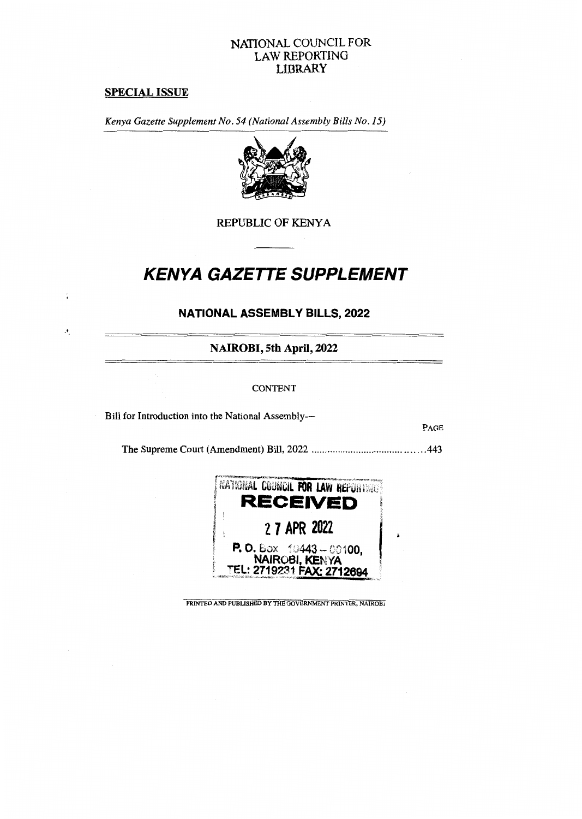## **NATIONAL COUNCIL FOR LAW REPORTING LIBRARY**

## **SPECIAL ISSUE**

 $\pmb{\cdot}$ 

*Kenya Gazette Supplement No. 54 (National Assembly Bills No. 15)* 



REPUBLIC OF KENYA

# *KENYA GAZETTE SUPPLEMENT*

## **NATIONAL ASSEMBLY BILLS, 2022**

**NAIROBI, 5th April, 2022** 

#### CONTENT

Bill for Introduction into the National Assembly—

PAGE

The Supreme Court (Amendment) Bill, 2022 443



PRINTED AND PUBLISHED BY THE GOVERNMENT PRINTER, NAIROBI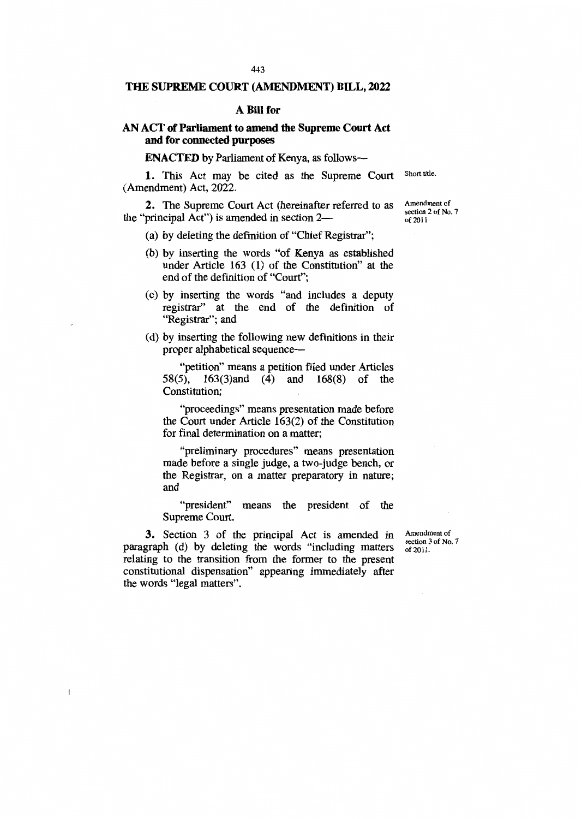### **THE SUPREME COURT (AMENDMENT) BILL, 2022**

#### **A Bill for**

## **AN ACT of Parliament to amend the Supreme Court Act and for connected purposes**

**ENACTED** by Parliament of Kenya, as follows-

1. This Act may be cited as the Supreme Court (Amendment) Act, 2022. Short title.

2. The Supreme Court Act (hereinafter referred to as the "principal Act") is amended in section 2—

(a) by deleting the definition of "Chief Registrar";

- (b) by inserting the words "of Kenya as established under Article 163 (1) of the Constitution" at the end of the definition of "Court";
- (c) by inserting the words "and includes a deputy registrar" at the end of the definition of "Registrar"; and
- (d) by inserting the following new definitions in their proper alphabetical sequence—

"petition" means a petition filed under Articles 58(5), 163(3)and (4) and 168(8) of the Constitution;

"proceedings" means presentation made before the Court under Article 163(2) of the Constitution for final determination on a matter;

"preliminary procedures" means presentation made before a single judge, a two judge bench, or the Registrar, on a matter preparatory in nature; and

"president" means the president of the Supreme Court.

**3.** Section 3 of the principal Act is amended in paragraph (d) by deleting the words "including matters relating to the transition from the former to the present constitutional dispensation" appearing immediately after the words "legal matters".

 $\mathbf{I}$ 

Amendment of section 3 of No. 7 of 2011.

Amendment of section 2 of No. 7 of 2011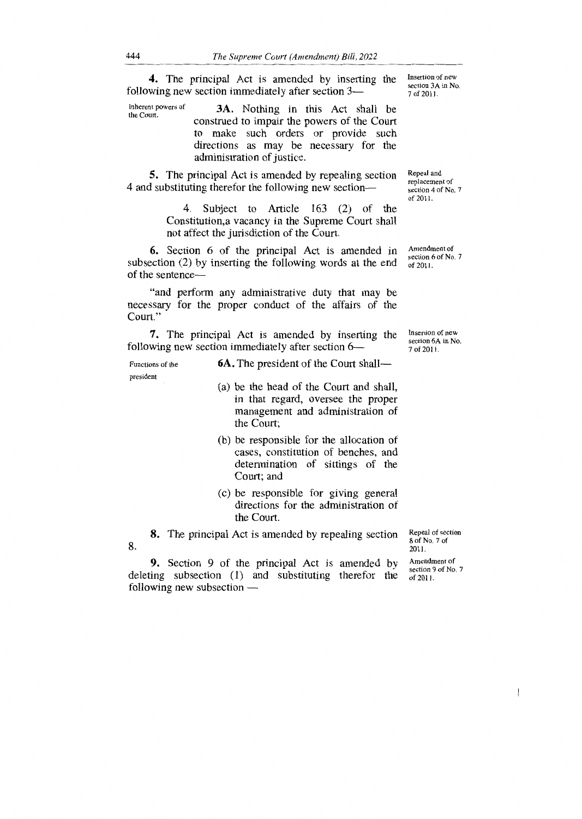4. The principal Act is amended by inserting the Insertion of new following new section immediately after section 3—

3A. Nothing in this Act shall be construed to impair the powers of the Court to make such orders or provide such directions as may be necessary for the administration of justice. Inherent powers of the Court.

5. The principal Act is amended by repealing section 4 and substituting therefor the following new section-

> 4. Subject to Article 163 (2) of the Constitution,a vacancy in the Supreme Court shall not affect the jurisdiction of the Court.

6. Section 6 of the principal Act is amended in subsection (2) by inserting the following words at the end of the sentence—

"and perform any administrative duty that may be necessary for the proper conduct of the affairs of the Court."

7. The principal Act is amended by inserting the following new section immediately after section 6—

Functions of the **6A.** The president of the Court shall president

- (a) be the head of the Court and shall, in that regard, oversee the proper management and administration of the Court;
- (b) be responsible for the allocation of cases, constitution of benches, and determination of sittings of the Court; and
- (c) be responsible for giving general directions for the administration of the Court.

8. The principal Act is amended by repealing section 8.

9. Section 9 of the principal Act is amended by deleting subsection (1) and substituting therefor the following new subsection —

Repear of section  $801100.706$ 2011.<br>Amendment of

section 9 of No. 7  $\frac{1}{2}$ section 9 of 190. of 2011.

Amendment of<br>Action 6 of Mo  $\frac{1}{6}$  0.110.7 of 2011.

Insertion of new<br>Institute 6.4 in Mo section 6A in No.<br> $7.62011$ 7 of 2011.

 $\sum_{i=1}^{n} a_i$ section 3A in No. 7 of 2011.

Repeal and<br>replacement of placement of scuon 4 of 180. 7

of 2011.

 $\overline{\phantom{a}}$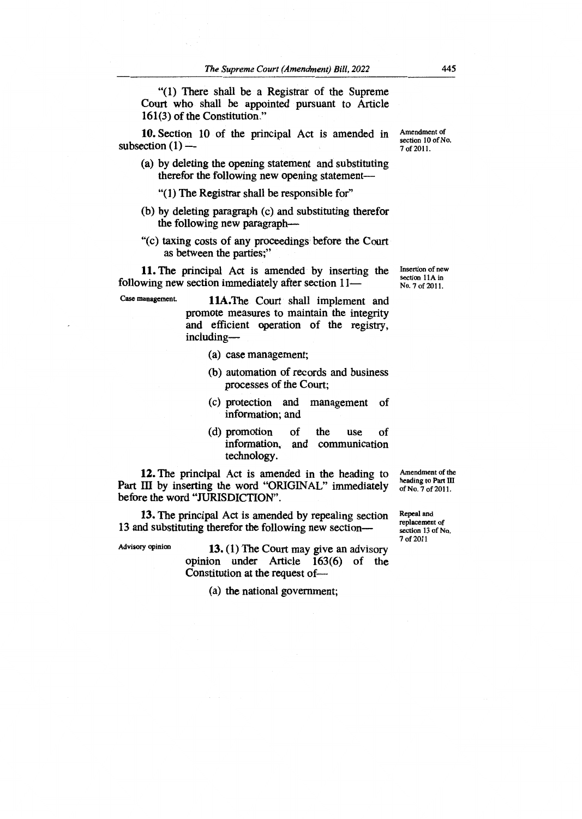"(1) There shall be a Registrar of the Supreme Court who shall be appointed pursuant to Article 161(3) of the Constitution."

10. Section 10 of the principal Act is amended in subsection  $(1)$  —

(a) by deleting the opening statement and substituting therefor the following new opening statement—

"(1) The Registrar shall be responsible for"

- (b) by deleting paragraph (c) and substituting therefor the following new paragraph—
- "(c) taxing costs of any proceedings before the Court as between the parties;"

11. The principal Act is amended by inserting the following new section immediately after section  $11-$ 

Case management. 11A.The Court shall implement and promote measures to maintain the integrity and efficient operation of the registry, including—

- (a) case management;
- (b) automation of records and business processes of the Court;
- (c) protection and management of information; and
- (d) promotion of the use of information, and communication technology.

**12.** The principal Act is amended in the heading to Part III by inserting the word "ORIGINAL" immediately before the word "JURISDICTION".

**13.** The principal Act is amended by repealing section 13 and substituting therefor the following new section—

Advisory opinion **13.** (1) The Court may give an advisory opinion under Article 163(6) of the Constitution at the request of—

(a) the national government;

Amendment of the heading to Part III of No. 7 of 2011.

Repeal and replacement of section 13 of No. 7 of 2011

Amendment of section 10 of No. 7 of 2011.

Insertion of new section 11A in No. 7 of 2011.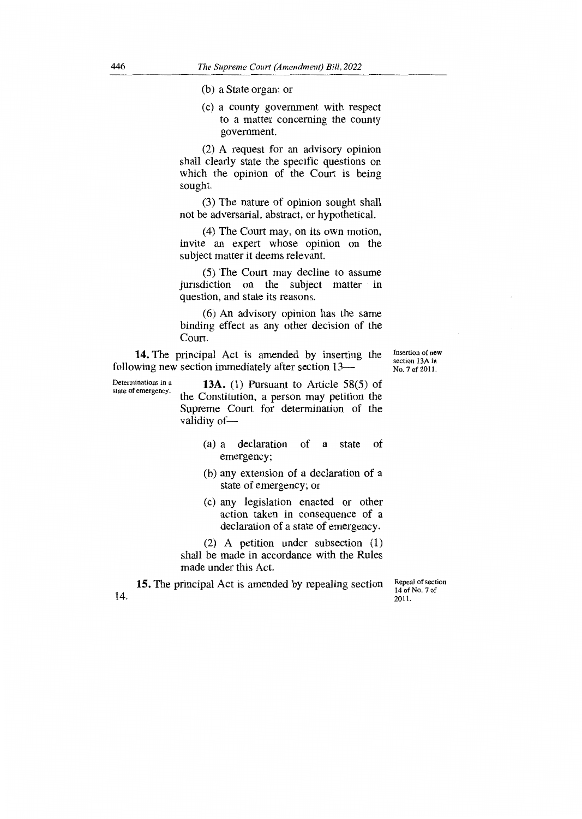(b) a State organ; or

(c) a county government with respect to a matter concerning the county government.

(2) A request for an advisory opinion shall clearly state the specific questions on which the opinion of the Court is being sought.

(3) The nature of opinion sought shall not be adversarial, abstract, or hypothetical.

(4) The Court may, on its own motion, invite an expert whose opinion on the subject matter it deems relevant.

(5) The Court may decline to assume jurisdiction on the subject matter in question, and state its reasons.

(6) An advisory opinion has the same binding effect as any other decision of the Court.

14. The principal Act is amended by inserting the following new section immediately after section 13—

Determinations in a **13A.** (1) Pursuant to Article 58(5) of state of emergency. the Constitution, a person may petition the Supreme Court for determination of the validity of-

- (a) a declaration of a state of emergency;
- (b) any extension of a declaration of a state of emergency; or
- (c) any legislation enacted or other action taken in consequence of a declaration of a state of emergency.

(2) A petition under subsection (1) shall be made in accordance with the Rules made under this Act.

14. **15.** The principal Act is amended by repealing section Repeal of section 14 of No. 7 of 2011.

Insertion of new section 13A in No. 7 of 2011.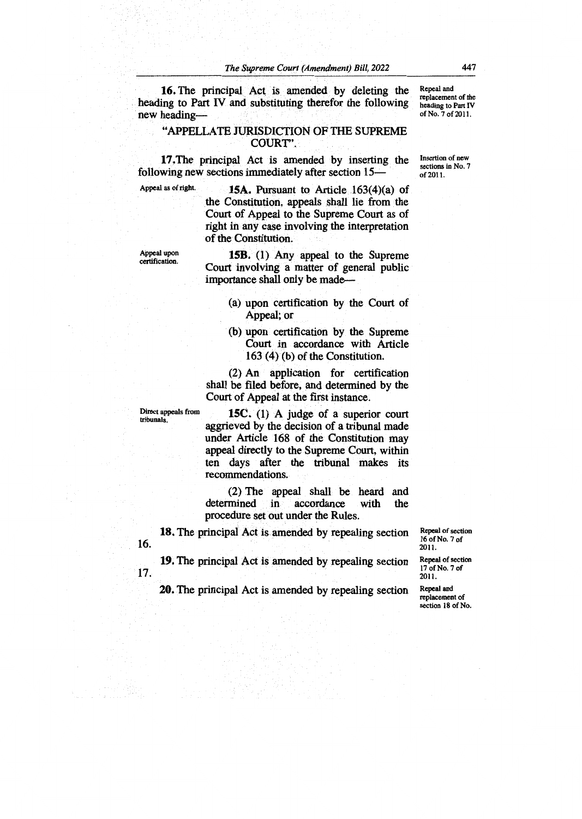**16.** The principal Act is amended by deleting the heading to Part IV and substituting therefor the following new heading— Repeal and replacement of the heading to Part IV of No. 7 of 2011.

## "APPELLATE JURISDICTION OF THE SUPREME couRr.

17.The principal Act is amended by inserting the following new sections immediately after section 15—

Appeal as of right. **15A.** Pursuant to Article 163(4)(a) of the Constitution, appeals shall lie from the Court of Appeal to the Supreme Court as of right in any case involving the interpretation of the Constitution.

Appeal upon certification.

**158.** (1) Any appeal to the Supreme Court involving a matter of general public importance shall only be made—

- (a) upon certification by the Court of Appeal; or
- (b) upon certification by the Supreme Court in accordance with Article 163 (4) (b) of the Constitution.

(2) An application for certification shall be filed before, and determined by the Court of Appeal at the first instance.

Direct appeals from tribunals.

16.

**15C.** (1) A judge of a superior court aggrieved by the decision of a tribunal made under Article 168 of the Constitution may appeal directly to the Supreme Court, within ten days after the tribunal makes its recommendations.

(2) The appeal shall be heard and determined in accordance with the procedure set out under the Rules.

**18.** The principal Act is amended by repealing section

16 of No. 7 of 2011. Repeal of section

**19.** The principal Act is amended by repealing section 17.

**20.** The principal Act is amended by repealing section

Repeal and replacement of section 18 of No.

17 of No. 7 of 2011.

Repeal of section

Insertion of new sections in No. 7 of 2011.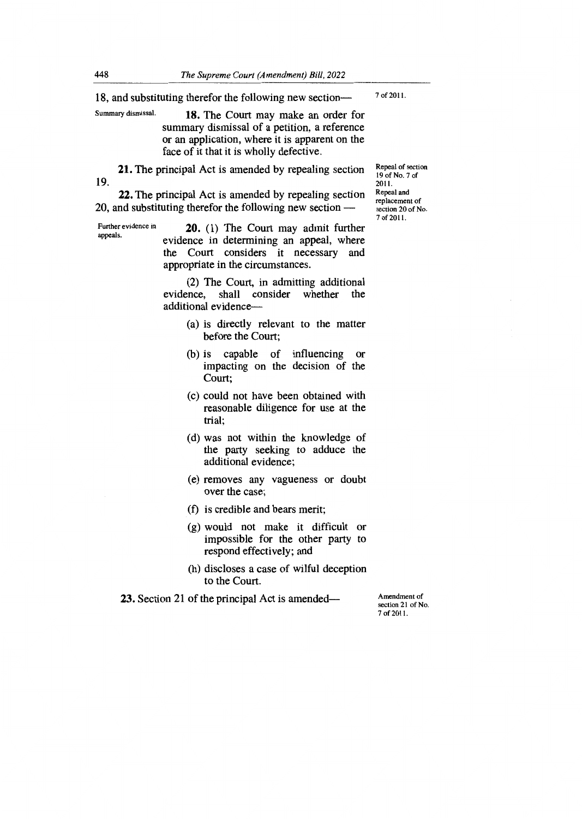18, and substituting therefor the following new section—

Summary dismissal. **18.** The Court may make an order for summary dismissal of a petition, a reference or an application, where it is apparent on the face of it that it is wholly defective.

21. The principal Act is amended by repealing section 19.

22. The principal Act is amended by repealing section 20, and substituting therefor the following new section —

Further evidence in Further evidence in **20.** (1) The Court may admit further appeals. evidence in determining an appeal, where the Court considers it necessary and appropriate in the circumstances.

> (2) The Court, in admitting additional evidence, shall consider whether additional evidence—

- (a) is directly relevant to the matter before the Court;
- (b) is capable of influencing or impacting on the decision of the Court;
- (c) could not have been obtained with reasonable diligence for use at the trial;
- (d) was not within the knowledge of the party seeking to adduce the additional evidence;
- (e) removes any vagueness or doubt over the case;
- (f) is credible and bears merit;
- (g) would not make it difficult or impossible for the other party to respond effectively; and
- (h) discloses a case of wilful deception to the Court.

**23.** Section 21 of the principal Act is amended— Amendment of

section 21 of No. 7 of 2011.

Repeal of section 19 of No. 7 of 2011. Repeal and replacement of section 20 of No. 7 of 2011.

7 of 2011.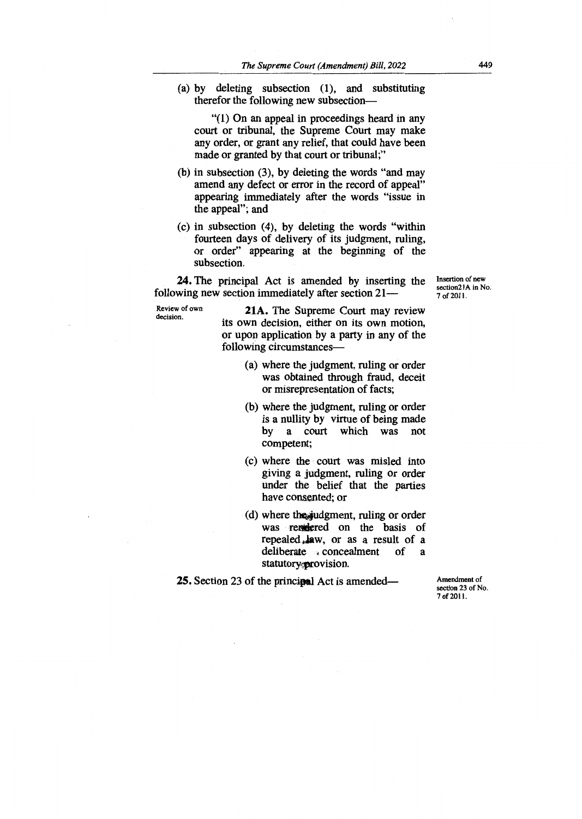(a) by deleting subsection (1), and substituting therefor the following new subsection—

"(1) On an appeal in proceedings heard in any court or tribunal, the Supreme Court may make any order, or grant any relief, that could have been made or granted by that court or tribunal;"

- (b) in subsection (3), by deleting the words "and may amend any defect or error in the record of appeal" appearing immediately after the words "issue in the appeal"; and
- (c) in subsection (4), by deleting the words "within fourteen days of delivery of its judgment, ruling, or order" appearing at the beginning of the subsection.

**24.** The principal Act is amended by inserting the following new section immediately after section 21—

Review of own decision.

**21A.** The Supreme Court may review its own decision, either on its own motion, or upon application by a party in any of the following circumstances—

- (a) where the judgment, ruling or order was obtained through fraud, deceit or misrepresentation of facts;
- (b) where the judgment, ruling or order is a nullity by virtue of being made by a court which was not competent;
- (c) where the court was misled into giving a judgment, ruling or order under the belief that the parties have consented; or
- (d) where the judgment, ruling or order was rendered on the basis of repealed Aw, or as a result of a deliberate concealment of a statutory provision.

**25.** Section 23 of the principal Act is amended—

Amendment of section 23 of No. 7 of 2011.

Insertion of new section2lA in No. 7 of 2011.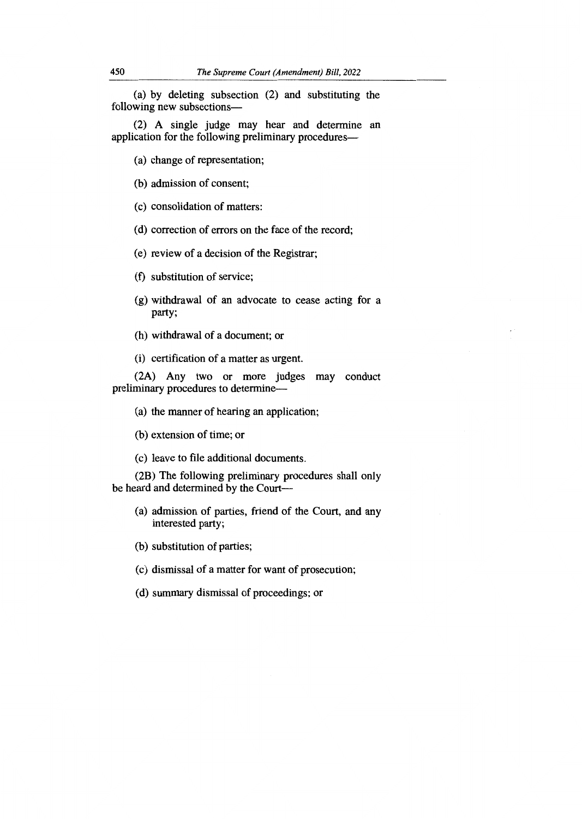(a) by deleting subsection (2) and substituting the following new subsections—

(2) A single judge may hear and determine an application for the following preliminary procedures—

(a) change of representation;

(b) admission of consent;

(c) consolidation of matters:

(d) correction of errors on the face of the record;

(e) review of a decision of the Registrar;

(f) substitution of service;

- (g) withdrawal of an advocate to cease acting for a party;
- (h) withdrawal of a document; or
- (i) certification of a matter as urgent.

(2A) Any two or more judges may conduct preliminary procedures to determine—

- (a) the manner of hearing an application;
- (b) extension of time; or
- (c) leave to file additional documents.

(2B) The following preliminary procedures shall only be heard and determined by the Court—

- (a) admission of parties, friend of the Court, and any interested party;
- (b) substitution of parties;
- (c) dismissal of a matter for want of prosecution;
- (d) summary dismissal of proceedings; or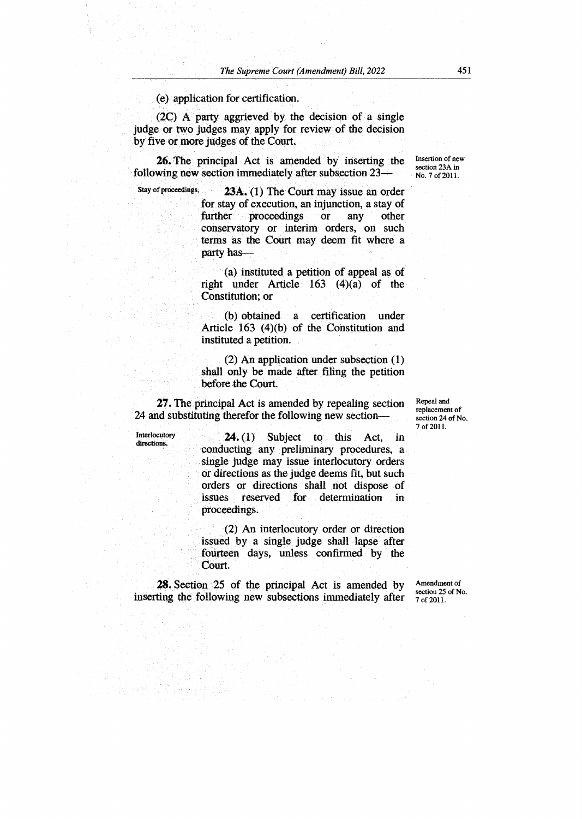(e) application for certification.

(2C) A. party aggrieved by the decision of a single judge or two judges may apply for review of the decision by five or more judges of the Court.

**26.** The principal Act is amended by inserting the following new section immediately after subsection 23—

Stay of proceedings. **23A.** (1) The Court may issue an order for stay of execution, an injunction, a stay of further proceedings or any other conservatory or interim orders, on such terms as the Court may deem fit where a party has—

> (a) instituted a petition of appeal as of right under Article 163 (4)(a) of the Constitution; or

> (b) obtained a certification under Article 163 (4)(b) of the Constitution and instituted a petition.

> (2) An application under subsection (1) shall only be made after filing the petition before the Court

**27.** The principal Act is amended by repealing section 24 and substituting therefor the following new section—

Interlocutory directions.

**24. (1)** Subject to this Act, in conducting any preliminary procedures, a single judge may issue interlocutory orders or directions as the judge deems fit, but such orders or directions shall not dispose of for determination in proceedings.

(2) An interlocutory order or direction issued by a single judge shall lapse after fourteen days, unless confirmed by the Court.

**28.** Section 25 of the principal Act is amended by inserting the following new subsections immediately after

Amendment of section 25 of No. 7 of 2011.

Repeal and replacement of section 24 of No. 7 of 2011.

Insertion of new section 23A in No. 7 of 2011.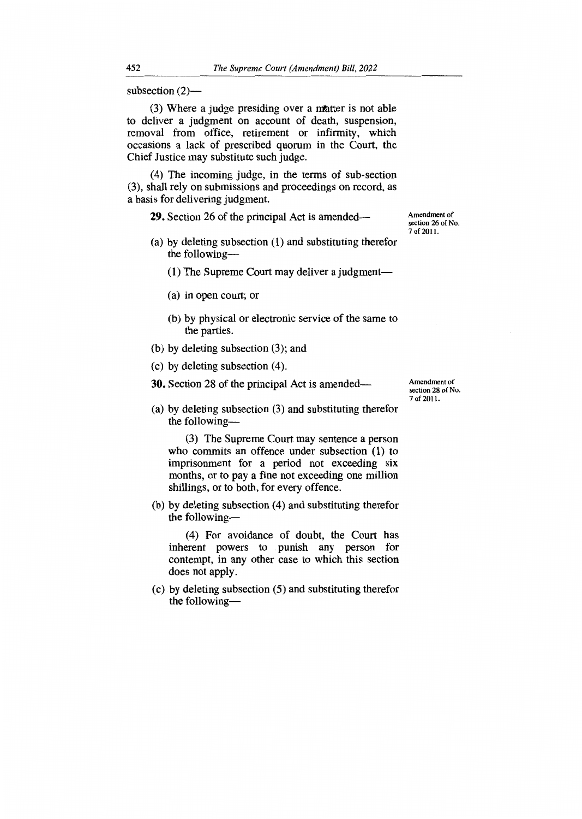subsection (2)—

(3) Where a judge presiding over a matter is not able to deliver a judgment on account of death, suspension, removal from office, retirement or infirmity, which occasions a lack of prescribed quorum in the Court, the Chief Justice may substitute such judge.

(4) The incoming judge, in the terms of sub-section (3), shall rely on submissions and proceedings on record, as a basis for delivering judgment.

**29.** Section 26 of the principal Act is amended—

- (a) by deleting subsection (1) and substituting therefor the following—
	- (1) The Supreme Court may deliver a judgment—
	- (a) in open court; or
	- (b) by physical or electronic service of the same to the parties.
- (b) by deleting subsection (3); and
- (c) by deleting subsection (4).

**30.** Section 28 of the principal Act is amended—

Amendment of section 28 of No. 7 of 2011.

Amendment of section 26 of No. 7 of 2011.

(a) by deleting subsection (3) and substituting therefor the following—

(3) The Supreme Court may sentence a person who commits an offence under subsection (1) to imprisonment for a period not exceeding six months, or to pay a fine not exceeding one million shillings, or to both, for every offence.

(b) by deleting subsection (4) and substituting therefor the following—

(4) For avoidance of doubt, the Court has inherent powers to punish any person for contempt, in any other case to which this section does not apply.

(c) by deleting subsection (5) and substituting therefor the following—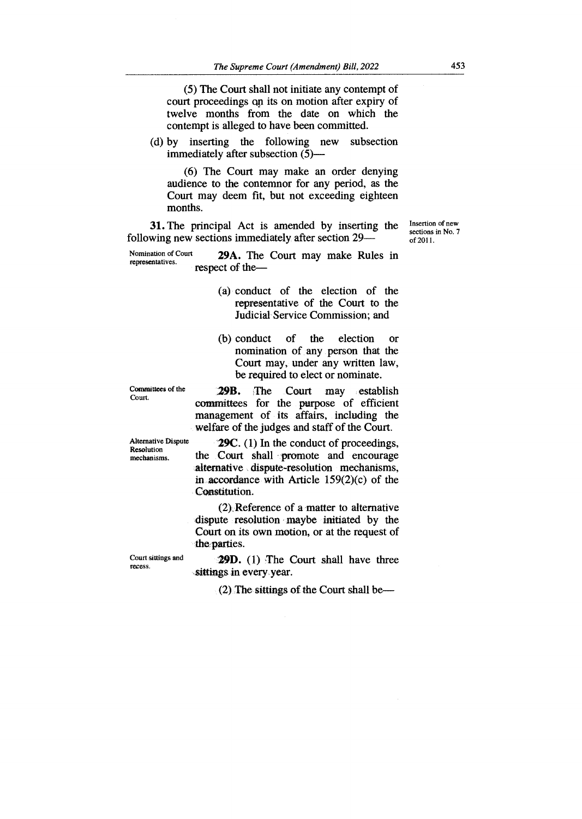(5) The Court shall not initiate any contempt of court proceedings Qp its on motion after expiry of twelve months from the date on which the contempt is alleged to have been committed.

(d) by inserting the following new subsection immediately after subsection (5)—

(6) The Court may make an order denying audience to the contemnor for any period, as the Court may deem fit, but not exceeding eighteen months.

31. The principal Act is amended by inserting the following new sections immediately after section 29Insertion of new sections in No. 7 of 2011.

Nomination of Court **29A.** The Court may make Rules in representatives. respect of the—

- (a) conduct of the election of the representative of the Court to the Judicial Service Commission; and
- (b) conduct of the election or nomination of any person that the Court may, under any written law, be required to elect or nominate.

Committees of the **29B.** The Court may establish committees for the purpose of efficient management of its affairs, including the welfare of the judges and staff of the Court.

Alternative Dispute **29C.** (1) In the conduct of proceedings, Resolution the Court shall promote and encourage the Court shall promote and encourage alternative dispute-resolution mechanisms, in accordance with Article 159(2)(c) of the Constitution.

> $(2)$  Reference of a matter to alternative dispute resolution maybe initiated by the Court on its own motion, or at the request of the parties.

Court sittings and recess.

**29D.** (1) The Court shall have three sittings in every, year.

(2) The sittings of the Court shall be—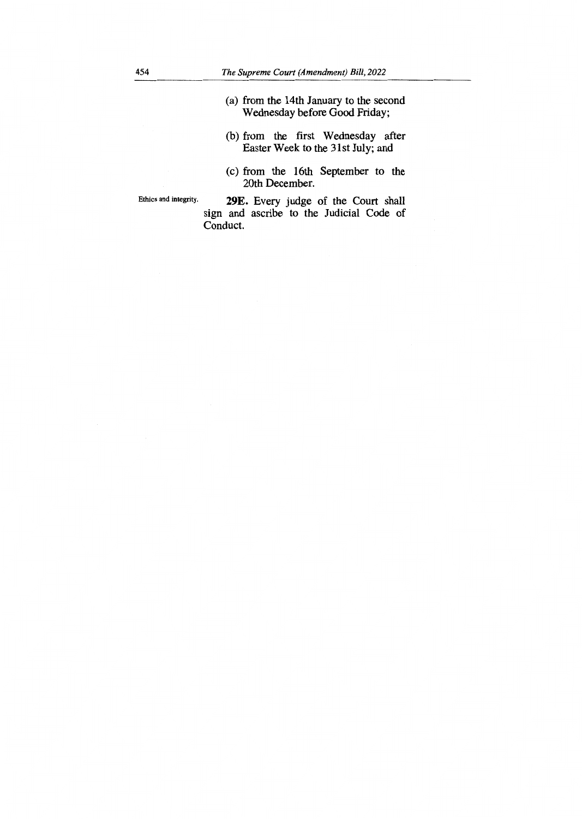- (a) from the 14th January to the second Wednesday before Good Friday;
- (b) from the first Wednesday after Easter Week to the 31st July; and
- (c) from the 16th September to the 20th December.

Ethics and integrity. **29E.** Every judge of the Court shall sign and ascribe to the Judicial Code of Conduct.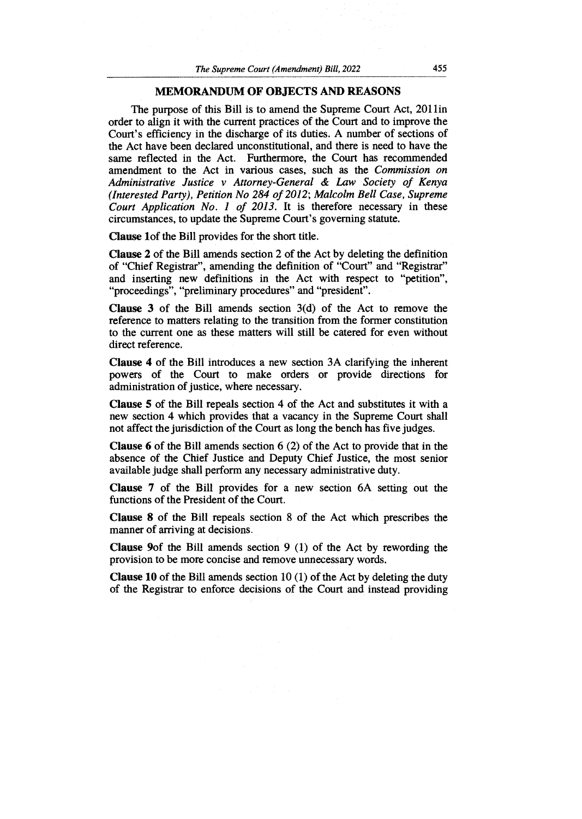### **MEMORANDUM OF OBJECTS AND REASONS**

The purpose of this Bill is to amend the Supreme Court Act, 2011in order to align it with the current practices of the Court and to improve the Court's efficiency in the discharge of its duties. A number of sections of the Act have been declared unconstitutional, and there is need to have the same reflected in the Act. Furthermore, the Court has recommended amendment to the Act in various cases, such as the *Commission on Administrative Justice v Attorney-General & Law Society of Kenya (Interested Party), Petition No 284 of 2012; Malcolm Bell Case, Supreme Court Application No. 1 of 2013.* It is therefore necessary in these circumstances, to update the Supreme Court's governing statute.

**Clause lof** the Bill provides for the short title.

**Clause 2 of** the Bill amends section 2 of the Act by deleting the definition of "Chief Registrar", amending the definition of "Court" and "Registrar" and inserting new definitions in the Act with respect to "petition", "proceedings", "preliminary procedures" and "president".

**Clause 3 of** the Bill amends section 3(d) of the Act to remove the reference to matters relating to the transition from the former constitution to the current one as these matters will still be catered for even without direct reference.

**Clause 4 of** the Bill introduces a new section 3A clarifying the inherent powers of the Court to make orders or provide directions for administration of justice, where necessary.

**Clause 5 of** the Bill repeals section 4 of the Act and substitutes it with a new section 4 which provides that a vacancy in the Supreme Court shall not affect the jurisdiction of the Court as long the bench has five judges.

**Clause 6 of** the Bill amends section 6 (2) of the Act to provide that in the absence of the Chief Justice and Deputy Chief Justice, the most senior available judge shall perform any necessary administrative duty.

**Clause 7 of** the Bill provides for a new section 6A setting out the functions of the President of the Court.

**Clause 8 of** the Bill repeals section 8 of the Act which prescribes the manner of arriving at decisions.

**Clause 9of** the Bill amends section 9 (1) of the Act by rewording the provision to be more concise and remove unnecessary words.

**Clause 10 of** the Bill amends section 10 (1) of the Act by deleting the duty of the Registrar to enforce decisions of the Court and instead providing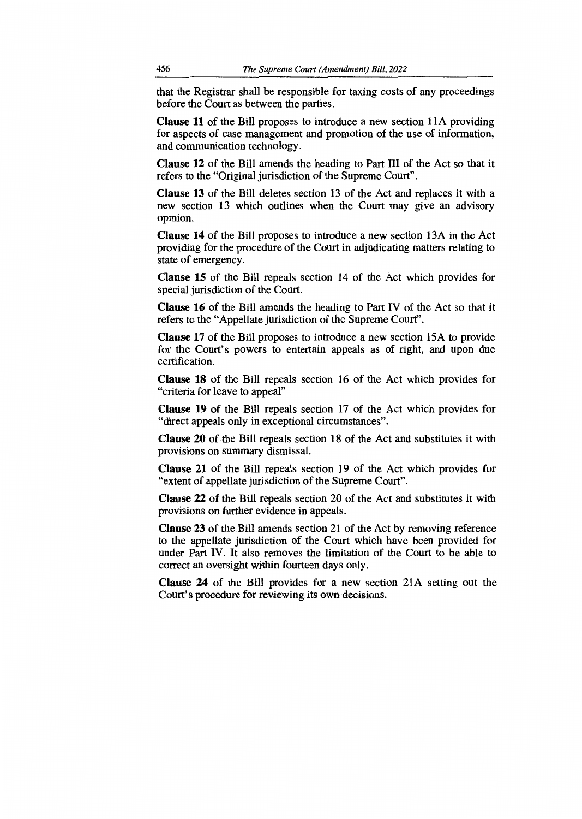that the Registrar shall be responsible for taxing costs of any proceedings before the Court as between the parties.

**Clause 11** of the Bill proposes to introduce a new section 11A providing for aspects of case management and promotion of the use of information, and communication technology.

**Clause 12 of** the Bill amends the heading to Part III of the Act so that it refers to the "Original jurisdiction of the Supreme Court".

**Clause 13 of** the Bill deletes section 13 of the Act and replaces it with a new section 13 which outlines when the Court may give an advisory opinion.

**Clause 14 of** the Bill proposes to introduce a new section 13A in the Act providing for the procedure of the Court in adjudicating matters relating to state of emergency.

**Clause 15 of** the Bill repeals section 14 of the Act which provides for special jurisdiction of the Court.

**Clause 16** of the Bill amends the heading to Part IV of the Act so that it refers to the "Appellate jurisdiction of the Supreme Court".

**Clause 17 of** the Bill proposes to introduce a new section 15A to provide for the Court's powers to entertain appeals as of right, and upon due certification.

**Clause 18 of** the Bill repeals section 16 of the Act which provides for "criteria for leave to appeal".

**Clause 19 of** the Bill repeals section 17 of the Act which provides for "direct appeals only in exceptional circumstances".

**Clause 20 of** the Bill repeals section 18 of the Act and substitutes it with provisions on summary dismissal.

**Clause 21 of** the Bill repeals section 19 of the Act which provides for "extent of appellate jurisdiction of the Supreme Court".

**Clause 22 of** the Bill repeals section 20 of the Act and substitutes it with provisions on further evidence in appeals.

**Clause 23 of** the Bill amends section 21 of the Act by removing reference to the appellate jurisdiction of the Court which have been provided for under Part IV. It also removes the limitation of the Court to be able to correct an oversight within fourteen days only.

**Clause 24 of** the Bill provides for a new section 21A setting out the Court's procedure for reviewing its own decisions.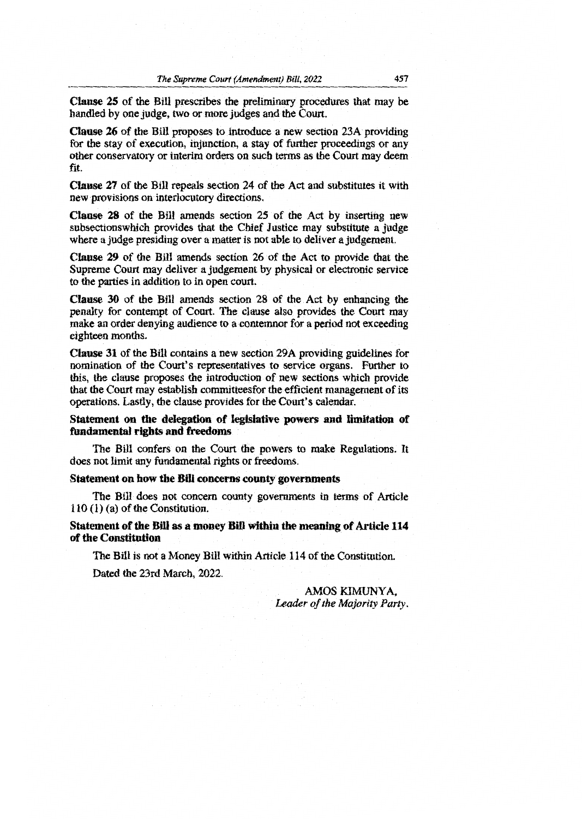25 of the Bill prescribes the preliminary procedures that may be handled by one judge, two or more judges and the Court.

Clause 26 of the Bill proposes to introduce a new section 23A providing for the stay of execution, injunction, a stay of further proceedings or any other conservatory or interim orders on such terms as the Court may deem fit.

 $\mathbf{u}$ se 27 of the Bill repeals section 24 of the Act and substitutes **use** 27 of the Bill repeals section 24 of the Act and substitutes it with  $u$  provisions on interlocutory directions. new provisions on interlocutory directions.

**Clause 28** of the Bill amends section 25 of the Act by inserting new subsections which provides that the Chief Justice may substitute a judge where a judge presiding over a matter is not able to deliver a judgement.

tt the<br>rvice **Clause 29** of the Bill amends section 26 of the Act to provide that the to the parties in addition to physical or electronic service to the parties in addition to in open court.

Clause  $30$  of the Bill amends section 28 of the Act by enhancing the penalty for contempt of Court. The clause also provides the Court may make an order denying audience to a contemnor for a period not exceeding  $e$ **ighteen** months.

Clause 31 of the Bill contains a new section 29A providing guidelines for nomination of the Court's representatives to service organs. Further to this, the clause proposes the introduction of new sections which provide that the Court may establish comrnitteesfor the efficient management of its operations. Lastly, the clause provides for the Court's calendar.

**Statement on the delegation of legislative powers and limitation of fundamental rights and** freedoms

The Bill conference on the Court the Court the Court the Court the Court the Court of the Court of the Court of the Court of the Court of the Court of the Court of the Court of the Court of the Court of the Court of the Co The Bill confers on the Court the powers to make Regulations. It does not limit any fundamental rights or freedoms. does not limit any fundamental rights or freedoms.

#### **Statement on how the Bill concerns county governments**

The Bill does not concern county governments in terms of Article 110 (1) (a) of the Constitution.

**Statement of the Bill as a money Bill within the meaning of Article 114 of the Constitution** 

The Bill is not a Money Bill within Article 114 of the Constitution.

Dated the 23rd March, 2022.

AMOS KIMINYA *Leader of the Majority Party.*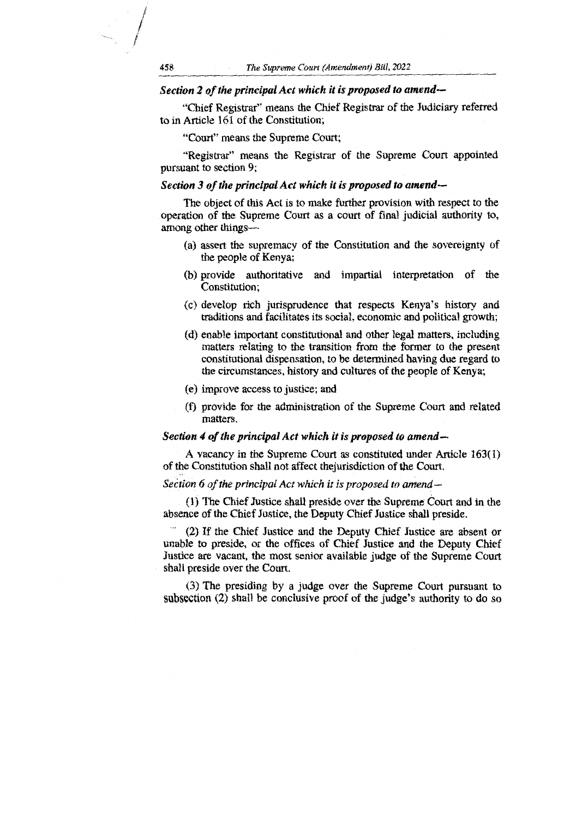## Section 2 of the principal Act which it is proposed to amen referred

"Chief Registrar" means the Chief Registrar of the Judiciary referred to in Article 161 of the Constitution;

"Court" means the Supreme Court;

"Registrar" means the Registrar of the Supreme Court appointed pursuant to section 9;

## *Section 3 of the principal Act which it is proposed to amend*  —

The object of this Act is to make further provision with respect to the oeration of the Supreme Court as a court of final judicial authority to, i. among other things—

- (a) assert the supremacy of the Constitution and the sovereignty of the people of Kenya;
- $\mathcal{L}$ (b) provide authoritative and impartial interpretation of the Constitution;
- (c) develop rich jurisprudence that respects Kenya's history and traditions and facilitates its social, economic and political growth;
- $\mathcal{L}$ (d) enable important constitutional and other legal matters, including matters relating to the transition from the former to the present constitutional dispensation to be determined having due regard to constitutional dispensation, to be determined having due regard to the circumstances, history and cultures of the people of Kenya;
- (e) improve access to justice; and
- $\mathcal{L}$ provide for the administration of the Supreme Court and related matters.

#### *Section 4 of the principal Act which it is proposed to amend*

A vacancy in the Supreme Court as constituted under Article 163(1) of the Constitution shall not affect thejurisdiction of the Court.

#### *Seetion 6 of the principal Act which it is proposed to amend—*

bsence of the Chief Justice, the Deputy Chief Justice shall preside. The Chief Justice shall preside over the Supreme Court and in the

Chief Justice are absent or (2) If the Chief Justice and the Deputy C<br>to preside or the offices of Chief Just unable to preside, or the offices of Chief Justice and the Deputy Chief Justice are vacant, the most senior available judge of the Supreme Court shall preside over the Court.

spection  $(2)$  shall be conclusive proof of the judge's authority to do so The presiding by a judge over the Supreme Court pursuant to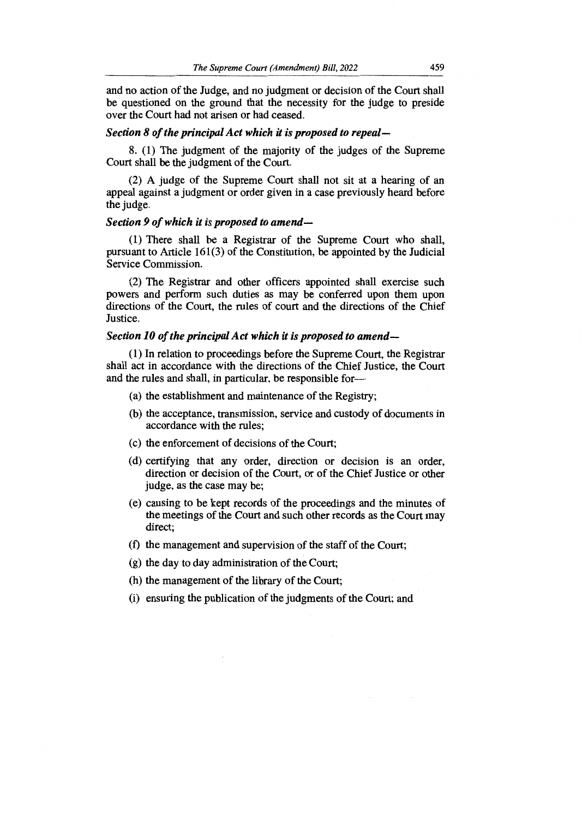and no action of the Judge, and no judgment or decision of the Court shall be questioned on the ground that the necessity for the judge to preside over the Court had not arisen or had ceased.

### *Section 8 of the principal Act which it is proposed to repeal-*

8. (1) The judgment of the majority of the judges of the Supreme Court shall be the judgment of the Court.

(2) A judge of the Supreme Court shall not sit at a hearing of an appeal against a judgment or order given in a case previously heard before the judge.

#### *Section 9 of which it is proposed to amend—*

(1) There shall be a Registrar of the Supreme Court who shall, pursuant to Article 161(3) of the Constitution, be appointed by the Judicial Service Commission.

(2) The Registrar and other officers appointed shall exercise such powers and perform such duties as may be conferred upon them upon directions of the Court, the rules of court and the directions of the Chief Justice.

#### *Section 10 of the principal Act which it is proposed to amend—*

(1) In relation to proceedings before the Supreme Court, the Registrar shall act in accordance with the directions of the Chief Justice, the Court and the rules and shall, in particular, be responsible for—

- (a) the establishment and maintenance of the Registry;
- (b) the acceptance, transmission, service and custody of documents in accordance with the rules;
- (c) the enforcement of decisions of the Court;
- (d) certifying that any order, direction or decision is an order, direction or decision of the Court, or of the Chief Justice or other judge, as the case may be;
- (e) causing to be kept records of the proceedings and the minutes of the meetings of the Court and such other records as the Court may direct;
- (f) the management and supervision of the staff of the Court;
- (g) the day to day administration of the Court;
- (h) the management of the library of the Court;
- (i) ensuring the publication of the judgments of the Court; and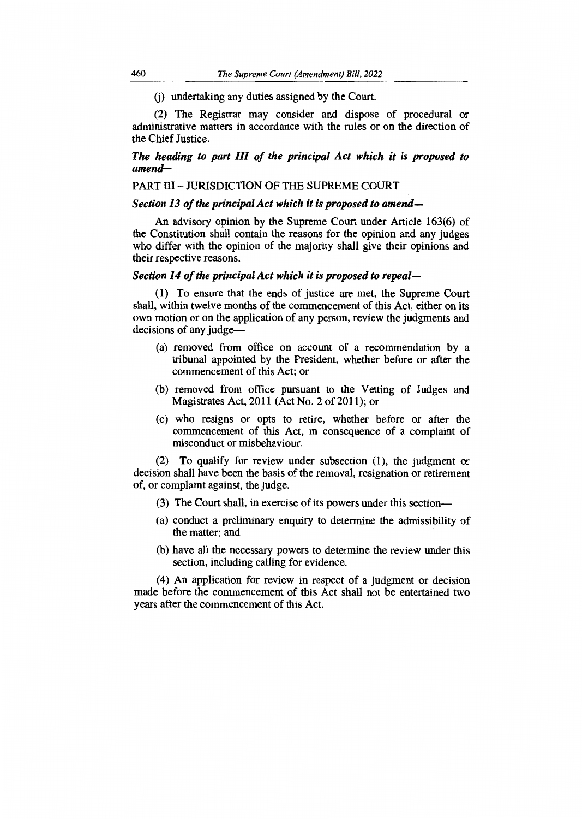(j) undertaking any duties assigned by the Court.

(2) The Registrar may consider and dispose of procedural or administrative matters in accordance with the rules or on the direction of the Chief Justice.

## *The heading to part III of the principal Act which it is proposed to amend—*

## PART III — JURISDICTION OF THE SUPREME COURT

## *Section 13 of the principal Act which it is proposed to amend—*

An advisory opinion by the Supreme Court under Article 163(6) of the Constitution shall contain the reasons for the opinion and any judges who differ with the opinion of the majority shall give their opinions and their respective reasons.

### *Section 14 of the principal Act which it is proposed to repeal—*

(1) To ensure that the ends of justice are met, the Supreme Court shall, within twelve months of the commencement of this Act, either on its own motion or on the application of any person, review the judgments and decisions of any judge—

- (a) removed from office on account of a recommendation by a tribunal appointed by the President, whether before or after the commencement of this Act; or
- (b) removed from office pursuant to the Vetting of Judges and Magistrates Act, 2011 (Act No. 2 of 2011); or
- (c) who resigns or opts to retire, whether before or after the commencement of this Act, in consequence of a complaint of misconduct or misbehaviour.

(2) To qualify for review under subsection (1), the judgment or decision shall have been the basis of the removal, resignation or retirement of, or complaint against, the judge.

- (3) The Court shall, in exercise of its powers under this section—
- (a) conduct a preliminary enquiry to determine the admissibility of the matter; and
- (b) have all the necessary powers to determine the review under this section, including calling for evidence.

(4) An application for review in respect of a judgment or decision made before the commencement of this Act shall not be entertained two years after the commencement of this Act.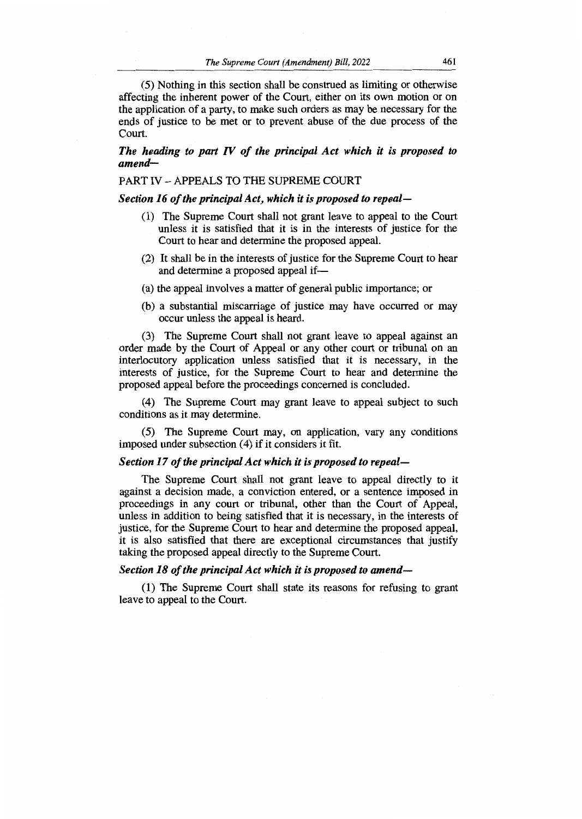(5) Nothing in this section shall be construed as limiting or otherwise affecting the inherent power of the Court, either on its own motion or on the application of a party, to make such orders as may be necessary for the ends of justice to be met or to prevent abuse of the due process of the Court.

## *The heading to part IV of the principal Act which it is proposed to amend—*

## PART IV — APPEALS TO THE SUPREME COURT

#### *Section 16 of the principal Act, which it is proposed to repeal—*

- (1) The Supreme Court shall not grant leave to appeal to the Court unless it is satisfied that it is in the interests of justice for the Court to hear and determine the proposed appeal.
- (2) It shall be in the interests of justice for the Supreme Court to hear and determine a proposed appeal if—
- (a) the appeal involves a matter of general public importance; or
- (b) a substantial miscarriage of justice may have occurred or may occur unless the appeal is heard.

(3) The Supreme Court shall not grant leave to appeal against an order made by the Court of Appeal or any other court or tribunal on an interlocutory application unless satisfied that it is necessary, in the interests of justice, for the Supreme Court to hear and determine the proposed appeal before the proceedings concerned is concluded.

(4) The Supreme Court may grant leave to appeal subject to such conditions as it may determine.

(5) The Supreme Court may, on application, vary any conditions imposed under subsection (4) if it considers it fit.

#### *Section 17 of the principal Act which it is proposed to repeal—*

The Supreme Court shall not grant leave to appeal directly to it against a decision made, a conviction entered, or a sentence imposed in proceedings in any court or tribunal, other than the Court of Appeal, unless in addition to being satisfied that it is necessary, in the interests of justice, for the Supreme Court to hear and determine the proposed appeal, it is also satisfied that there are exceptional circumstances that justify taking the proposed appeal directly to the Supreme Court.

## *Section 18 of the principal Act which it is proposed to amend—*

(1) The Supreme Court shall state its reasons for refusing to grant leave to appeal to the Court.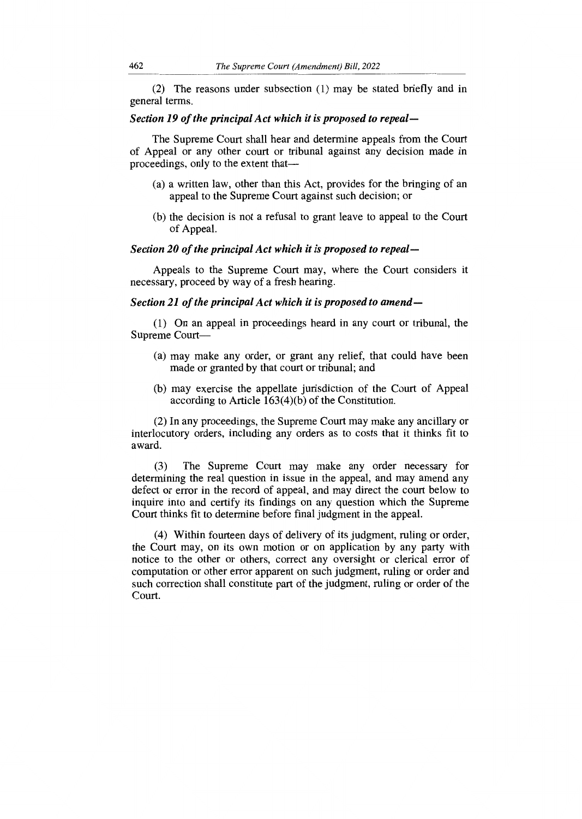(2) The reasons under subsection (1) may be stated briefly and in general terms.

## *Section 19 of the principal Act which it is proposed to repeal—*

The Supreme Court shall hear and determine appeals from the Court of Appeal or any other court or tribunal against any decision made in proceedings, only to the extent that—

- (a) a written law, other than this Act, provides for the bringing of an appeal to the Supreme Court against such decision; or
- (b) the decision is not a refusal to grant leave to appeal to the Court of Appeal.

#### *Section 20 of the principal Act which it is proposed to repeal—*

Appeals to the Supreme Court may, where the Court considers it necessary, proceed by way of a fresh hearing.

### *Section 21 of the principal Act which it is proposed to amend—*

(1) On an appeal in proceedings heard in any court or tribunal, the Supreme Court—

- (a) may make any order, or grant any relief, that could have been made or granted by that court or tribunal; and
- (b) may exercise the appellate jurisdiction of the Court of Appeal according to Article 163(4)(b) of the Constitution.

(2) In any proceedings, the Supreme Court may make any ancillary or interlocutory orders, including any orders as to costs that it thinks fit to award.

(3) The Supreme Court may make any order necessary for determining the real question in issue in the appeal, and may amend any defect or error in the record of appeal, and may direct the court below to inquire into and certify its findings on any question which the Supreme Court thinks fit to determine before final judgment in the appeal.

(4) Within fourteen days of delivery of its judgment, ruling or order, the Court may, on its own motion or on application by any party with notice to the other or others, correct any oversight or clerical error of computation or other error apparent on such judgment, ruling or order and such correction shall constitute part of the judgment, ruling or order of the Court.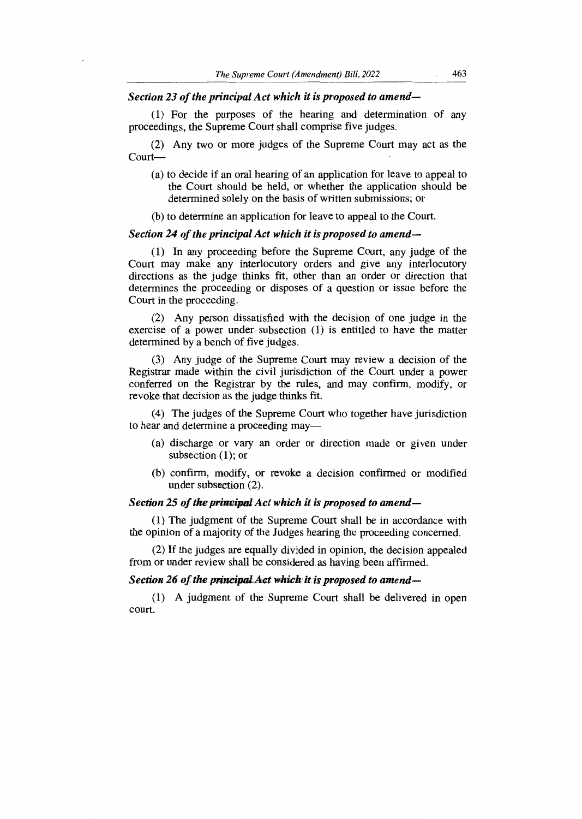## *Section 23 of the principal Act which it is proposed to amend—*

(1) For the purposes of the hearing and determination of any proceedings, the Supreme Court shall comprise five judges.

(2) Any two or more judges of the Supreme Court may act as the Court—

- (a) to decide if an oral hearing of an application for leave to appeal to the Court should be held, or whether the application should be determined solely on the basis of written submissions; or
- (b) to determine an application for leave to appeal to the Court.

## *Section 24 of the principal Act which it is proposed to amend—*

(1) In any proceeding before the Supreme Court, any judge of the Court may make any interlocutory orders and give any interlocutory directions as the judge thinks fit, other than an order or direction that determines the proceeding or disposes of a question or issue before the Court in the proceeding.

(2) Any person dissatisfied with the decision of one judge in the exercise of a power under subsection (1) is entitled to have the matter determined by a bench of five judges.

(3) Any judge of the Supreme Court may review a decision of the Registrar made within the civil jurisdiction of the Court under a power conferred on the Registrar by the rules, and may confirm, modify, or revoke that decision as the judge thinks fit.

(4) The judges of the Supreme Court who together have jurisdiction to hear and determine a proceeding may—

- (a) discharge or vary an order or direction made or given under subsection (1); or
- (b) confirm, modify, or revoke a decision confirmed or modified under subsection (2).

## *Section 25 of the principal Act which it is proposed to amend—*

(1) The judgment of the Supreme Court shall be in accordance with the opinion of a majority of the Judges hearing the proceeding concerned.

(2) If the judges are equally divided in opinion, the decision appealed from or under review shall be considered as having been affirmed.

## Section 26 of the principal Act which it is proposed to amend—

*(1)* A judgment of the Supreme Court shall be delivered in open court.